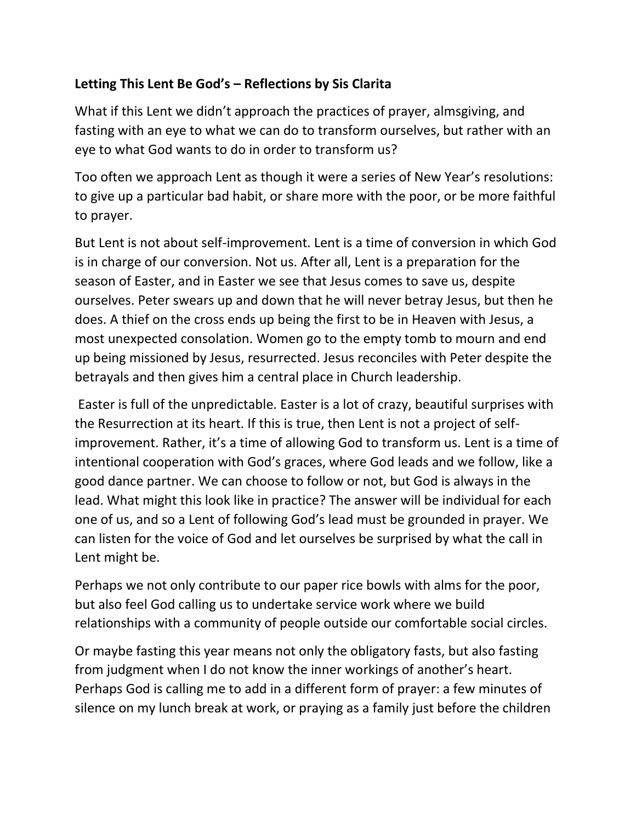## **Letting This Lent Be God's – Reflections by Sis Clarita**

What if this Lent we didn't approach the practices of prayer, almsgiving, and fasting with an eye to what we can do to transform ourselves, but rather with an eye to what God wants to do in order to transform us?

Too often we approach Lent as though it were a series of New Year's resolutions: to give up a particular bad habit, or share more with the poor, or be more faithful to prayer.

But Lent is not about self-improvement. Lent is a time of conversion in which God is in charge of our conversion. Not us. After all, Lent is a preparation for the season of Easter, and in Easter we see that Jesus comes to save us, despite ourselves. Peter swears up and down that he will never betray Jesus, but then he does. A thief on the cross ends up being the first to be in Heaven with Jesus, a most unexpected consolation. Women go to the empty tomb to mourn and end up being missioned by Jesus, resurrected. Jesus reconciles with Peter despite the betrayals and then gives him a central place in Church leadership.

Easter is full of the unpredictable. Easter is a lot of crazy, beautiful surprises with the Resurrection at its heart. If this is true, then Lent is not a project of selfimprovement. Rather, it's a time of allowing God to transform us. Lent is a time of intentional cooperation with God's graces, where God leads and we follow, like a good dance partner. We can choose to follow or not, but God is always in the lead. What might this look like in practice? The answer will be individual for each one of us, and so a Lent of following God's lead must be grounded in prayer. We can listen for the voice of God and let ourselves be surprised by what the call in Lent might be.

Perhaps we not only contribute to our paper rice bowls with alms for the poor, but also feel God calling us to undertake service work where we build relationships with a community of people outside our comfortable social circles.

Or maybe fasting this year means not only the obligatory fasts, but also fasting from judgment when I do not know the inner workings of another's heart. Perhaps God is calling me to add in a different form of prayer: a few minutes of silence on my lunch break at work, or praying as a family just before the children